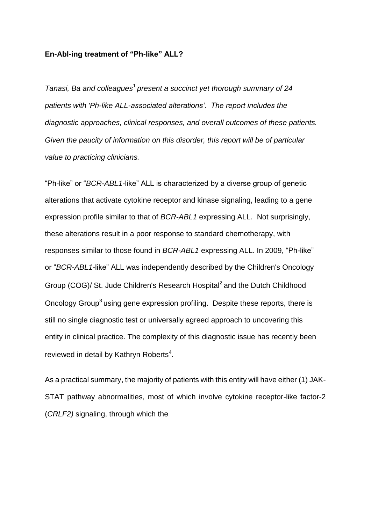## **En-Abl-ing treatment of "Ph-like" ALL?**

*Tanasi, Ba and colleagues*<sup>1</sup>*present a succinct yet thorough summary of 24 patients with 'Ph-like ALL-associated alterations'. The report includes the diagnostic approaches, clinical responses, and overall outcomes of these patients. Given the paucity of information on this disorder, this report will be of particular value to practicing clinicians.*

"Ph-like" or "*BCR-ABL1*-like" ALL is characterized by a diverse group of genetic alterations that activate cytokine receptor and kinase signaling, leading to a gene expression profile similar to that of *BCR-ABL1* expressing ALL. Not surprisingly, these alterations result in a poor response to standard chemotherapy, with responses similar to those found in *BCR-ABL1* expressing ALL. In 2009, "Ph-like" or "*BCR-ABL1*-like" ALL was independently described by the Children's Oncology Group (COG)/ St. Jude Children's Research Hospital<sup>2</sup> and the Dutch Childhood Oncology Group<sup>3</sup> using gene expression profiling. Despite these reports, there is still no single diagnostic test or universally agreed approach to uncovering this entity in clinical practice. The complexity of this diagnostic issue has recently been reviewed in detail by Kathryn Roberts<sup>4</sup>.

As a practical summary, the majority of patients with this entity will have either (1) JAK-STAT pathway abnormalities, most of which involve cytokine receptor-like factor-2 (*CRLF2)* signaling, through which the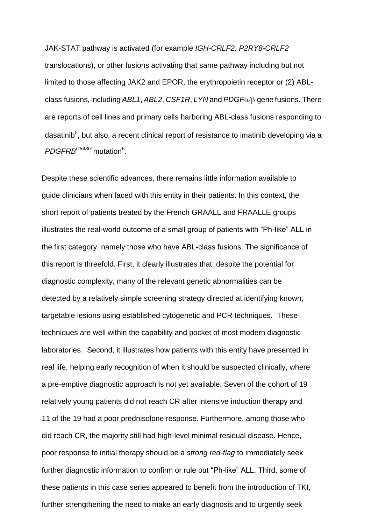JAK-STAT pathway is activated (for example *IGH-CRLF2, P2RY8-CRLF2*  translocations), or other fusions activating that same pathway including but not limited to those affecting JAK2 and EPOR, the erythropoietin receptor or (2) ABLclass fusions, including *ABL1*, *ABL2*, *CSF1R*, *LYN* and *PDGF* gene fusions. There are reports of cell lines and primary cells harboring ABL-class fusions responding to dasatinib<sup>5</sup>, but also, a recent clinical report of resistance to imatinib developing via a *PDGFRBC843G* mutation<sup>6</sup> .

Despite these scientific advances, there remains little information available to guide clinicians when faced with this entity in their patients. In this context, the short report of patients treated by the French GRAALL and FRAALLE groups illustrates the real-world outcome of a small group of patients with "Ph-like" ALL in the first category, namely those who have ABL-class fusions. The significance of this report is threefold. First, it clearly illustrates that, despite the potential for diagnostic complexity, many of the relevant genetic abnormalities can be detected by a relatively simple screening strategy directed at identifying known, targetable lesions using established cytogenetic and PCR techniques. These techniques are well within the capability and pocket of most modern diagnostic laboratories. Second, it illustrates how patients with this entity have presented in real life, helping early recognition of when it should be suspected clinically, where a pre-emptive diagnostic approach is not yet available. Seven of the cohort of 19 relatively young patients did not reach CR after intensive induction therapy and 11 of the 19 had a poor prednisolone response. Furthermore, among those who did reach CR, the majority still had high-level minimal residual disease. Hence, poor response to initial therapy should be a *strong red-flag* to immediately seek further diagnostic information to confirm or rule out "Ph-like" ALL. Third, some of these patients in this case series appeared to benefit from the introduction of TKI, further strengthening the need to make an early diagnosis and to urgently seek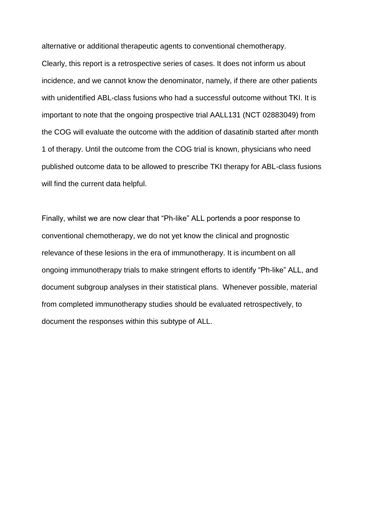alternative or additional therapeutic agents to conventional chemotherapy.

Clearly, this report is a retrospective series of cases. It does not inform us about incidence, and we cannot know the denominator, namely, if there are other patients with unidentified ABL-class fusions who had a successful outcome without TKI. It is important to note that the ongoing prospective trial AALL131 (NCT 02883049) from the COG will evaluate the outcome with the addition of dasatinib started after month 1 of therapy. Until the outcome from the COG trial is known, physicians who need published outcome data to be allowed to prescribe TKI therapy for ABL-class fusions will find the current data helpful.

Finally, whilst we are now clear that "Ph-like" ALL portends a poor response to conventional chemotherapy, we do not yet know the clinical and prognostic relevance of these lesions in the era of immunotherapy. It is incumbent on all ongoing immunotherapy trials to make stringent efforts to identify "Ph-like" ALL, and document subgroup analyses in their statistical plans. Whenever possible, material from completed immunotherapy studies should be evaluated retrospectively, to document the responses within this subtype of ALL.